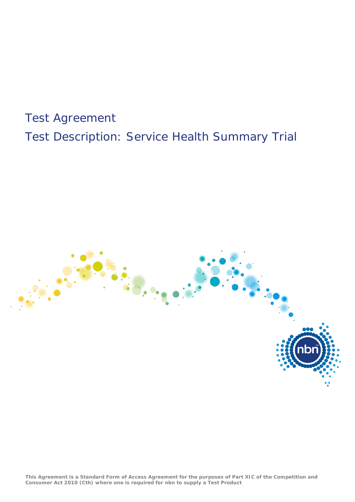# Test Agreement Test Description: Service Health Summary Trial



**This Agreement is a Standard Form of Access Agreement for the purposes of Part XIC of the Competition and Consumer Act 2010 (Cth) where one is required for nbn to supply a Test Product**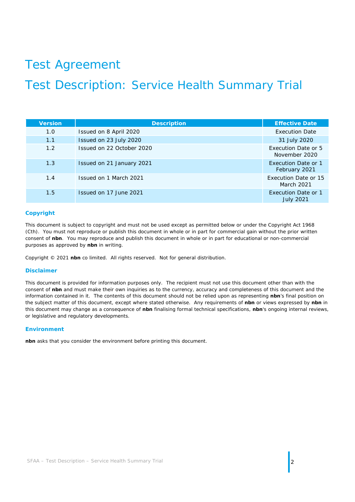# Test Agreement

## Test Description: Service Health Summary Trial

| <b>Version</b> | <b>Description</b>        | <b>Effective Date</b>                          |
|----------------|---------------------------|------------------------------------------------|
| 1.0            | Issued on 8 April 2020    | <b>Execution Date</b>                          |
| 1.1            | Issued on 23 July 2020    | 31 July 2020                                   |
| 1.2            | Issued on 22 October 2020 | Execution Date or 5<br>November 2020           |
| 1.3            | Issued on 21 January 2021 | <b>Execution Date or 1</b><br>February 2021    |
| 1.4            | Issued on 1 March 2021    | Execution Date or 15<br>March 2021             |
| 1.5            | Issued on 17 June 2021    | <b>Execution Date or 1</b><br><b>July 2021</b> |

#### **Copyright**

This document is subject to copyright and must not be used except as permitted below or under the *Copyright Act 1968* (Cth). You must not reproduce or publish this document in whole or in part for commercial gain without the prior written consent of **nbn**. You may reproduce and publish this document in whole or in part for educational or non-commercial purposes as approved by **nbn** in writing.

Copyright © 2021 **nbn** co limited. All rights reserved. Not for general distribution.

#### **Disclaimer**

This document is provided for information purposes only. The recipient must not use this document other than with the consent of **nbn** and must make their own inquiries as to the currency, accuracy and completeness of this document and the information contained in it. The contents of this document should not be relied upon as representing **nbn**'s final position on the subject matter of this document, except where stated otherwise. Any requirements of **nbn** or views expressed by **nbn** in this document may change as a consequence of **nbn** finalising formal technical specifications, **nbn**'s ongoing internal reviews, or legislative and regulatory developments.

#### **Environment**

**nbn** asks that you consider the environment before printing this document.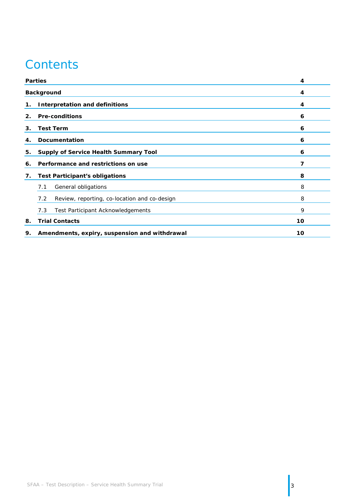## **Contents**

|                                                     | <b>Parties</b>                                      | 4  |
|-----------------------------------------------------|-----------------------------------------------------|----|
| <b>Background</b>                                   |                                                     | 4  |
| 1.                                                  | <b>Interpretation and definitions</b>               | 4  |
| 2.                                                  | <b>Pre-conditions</b>                               | 6  |
| <b>Test Term</b><br>3.                              |                                                     | 6  |
| <b>Documentation</b><br>4.                          |                                                     | 6  |
| 5.                                                  | <b>Supply of Service Health Summary Tool</b>        |    |
| 6.                                                  | Performance and restrictions on use                 | 7  |
| 7.                                                  | <b>Test Participant's obligations</b>               | 8  |
|                                                     | General obligations<br>7.1                          | 8  |
|                                                     | 7.2<br>Review, reporting, co-location and co-design | 8  |
|                                                     | 7.3<br>Test Participant Acknowledgements            | 9  |
| 8.                                                  | <b>Trial Contacts</b>                               | 10 |
| 9.<br>Amendments, expiry, suspension and withdrawal |                                                     | 10 |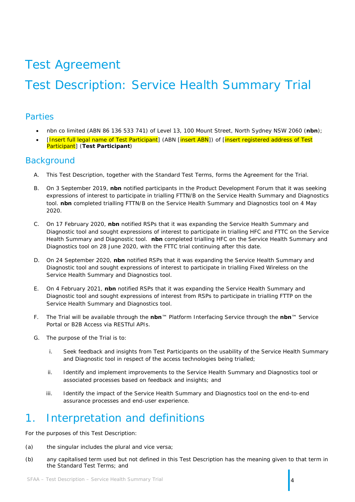# Test Agreement

# Test Description: Service Health Summary Trial

### <span id="page-3-0"></span>Parties

- nbn co limited (ABN 86 136 533 741) of Level 13, 100 Mount Street, North Sydney NSW 2060 (**nbn**);
- [Insert full legal name of Test Participant] (ABN [insert ABN]) of [insert registered address of Test Participant] (**Test Participant**)

### <span id="page-3-1"></span>**Background**

- A. This Test Description, together with the Standard Test Terms, forms the Agreement for the Trial.
- B. On 3 September 2019, **nbn** notified participants in the Product Development Forum that it was seeking expressions of interest to participate in trialling FTTN/B on the Service Health Summary and Diagnostics tool. **nbn** completed trialling FTTN/B on the Service Health Summary and Diagnostics tool on 4 May 2020.
- C. On 17 February 2020, **nbn** notified RSPs that it was expanding the Service Health Summary and Diagnostic tool and sought expressions of interest to participate in trialling HFC and FTTC on the Service Health Summary and Diagnostic tool. **nbn** completed trialling HFC on the Service Health Summary and Diagnostics tool on 28 June 2020, with the FTTC trial continuing after this date.
- D. On 24 September 2020, **nbn** notified RSPs that it was expanding the Service Health Summary and Diagnostic tool and sought expressions of interest to participate in trialling Fixed Wireless on the Service Health Summary and Diagnostics tool.
- E. On 4 February 2021, **nbn** notified RSPs that it was expanding the Service Health Summary and Diagnostic tool and sought expressions of interest from RSPs to participate in trialling FTTP on the Service Health Summary and Diagnostics tool.
- F. The Trial will be available through the **nbn**™ Platform Interfacing Service through the **nbn**™ Service Portal or B2B Access via RESTful APIs.
- G. The purpose of the Trial is to:
	- i. Seek feedback and insights from Test Participants on the usability of the Service Health Summary and Diagnostic tool in respect of the access technologies being trialled;
	- ii. Identify and implement improvements to the Service Health Summary and Diagnostics tool or associated processes based on feedback and insights; and
	- iii. Identify the impact of the Service Health Summary and Diagnostics tool on the end-to-end assurance processes and end-user experience.

## <span id="page-3-2"></span>1. Interpretation and definitions

For the purposes of this Test Description:

- (a) the singular includes the plural and vice versa;
- (b) any capitalised term used but not defined in this Test Description has the meaning given to that term in the Standard Test Terms; and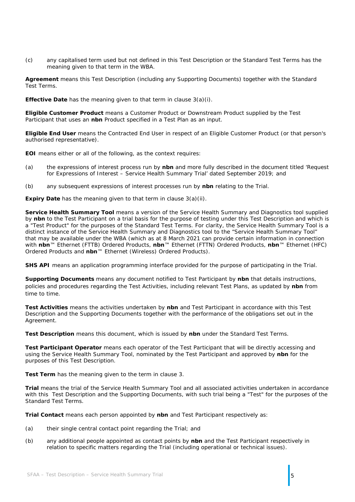(c) any capitalised term used but not defined in this Test Description or the Standard Test Terms has the meaning given to that term in the WBA.

**Agreement** means this Test Description (including any Supporting Documents) together with the Standard Test Terms.

**Effective Date** has the meaning given to that term in clause [3\(a\)\(i\).](#page-5-4)

**Eligible Customer Product** means a Customer Product or Downstream Product supplied by the Test Participant that uses an **nbn** Product specified in a Test Plan as an input.

**Eligible End User** means the Contracted End User in respect of an Eligible Customer Product (or that person's authorised representative).

**EOI** means either or all of the following, as the context requires:

- (a) the expressions of interest process run by **nbn** and more fully described in the document titled 'Request for Expressions of Interest – Service Health Summary Trial' dated September 2019; and
- (b) any subsequent expressions of interest processes run by **nbn** relating to the Trial.

**Expiry Date** has the meaning given to that term in clause [3\(a\)\(ii\).](#page-5-5)

**Service Health Summary Tool** means a version of the Service Health Summary and Diagnostics tool supplied by **nbn** to the Test Participant on a trial basis for the purpose of testing under this Test Description and which is a "Test Product" for the purposes of the Standard Test Terms. For clarity, the Service Health Summary Tool is a distinct instance of the Service Health Summary and Diagnostics tool to the "Service Health Summary Tool" that may be available under the WBA (which as at 8 March 2021 can provide certain information in connection with **nbn**™ Ethernet (FTTB) Ordered Products, **nbn**™ Ethernet (FTTN) Ordered Products, **nbn**™ Ethernet (HFC) Ordered Products and **nbn**™ Ethernet (Wireless) Ordered Products).

**SHS API** means an application programming interface provided for the purpose of participating in the Trial.

**Supporting Documents** means any document notified to Test Participant by **nbn** that details instructions, policies and procedures regarding the Test Activities, including relevant Test Plans, as updated by **nbn** from time to time.

**Test Activities** means the activities undertaken by **nbn** and Test Participant in accordance with this Test Description and the Supporting Documents together with the performance of the obligations set out in the Agreement.

**Test Description** means this document, which is issued by **nbn** under the Standard Test Terms.

**Test Participant Operator** means each operator of the Test Participant that will be directly accessing and using the Service Health Summary Tool, nominated by the Test Participant and approved by **nbn** for the purposes of this Test Description.

**Test Term** has the meaning given to the term in clause [3.](#page-5-1)

**Trial** means the trial of the Service Health Summary Tool and all associated activities undertaken in accordance with this Test Description and the Supporting Documents, with such trial being a "Test" for the purposes of the Standard Test Terms.

**Trial Contact** means each person appointed by **nbn** and Test Participant respectively as:

- (a) their single central contact point regarding the Trial; and
- (b) any additional people appointed as contact points by **nbn** and the Test Participant respectively in relation to specific matters regarding the Trial (including operational or technical issues).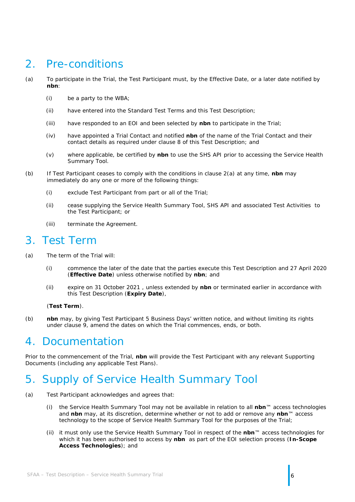## <span id="page-5-0"></span>2. Pre-conditions

- <span id="page-5-6"></span>(a) To participate in the Trial, the Test Participant must, by the Effective Date, or a later date notified by **nbn**:
	- (i) be a party to the WBA;
	- (ii) have entered into the Standard Test Terms and this Test Description;
	- (iii) have responded to an EOI and been selected by **nbn** to participate in the Trial;
	- (iv) have appointed a Trial Contact and notified **nbn** of the name of the Trial Contact and their contact details as required under clause [8](#page-9-0) of this Test Description; and
	- (v) where applicable, be certified by **nbn** to use the SHS API prior to accessing the Service Health Summary Tool.
- <span id="page-5-7"></span>(b) If Test Participant ceases to comply with the conditions in clause [2\(a\)](#page-5-6) at any time, **nbn** may immediately do any one or more of the following things:
	- (i) exclude Test Participant from part or all of the Trial;
	- (ii) cease supplying the Service Health Summary Tool, SHS API and associated Test Activities to the Test Participant; or
	- (iii) terminate the Agreement.

### <span id="page-5-1"></span>3. Test Term

- <span id="page-5-4"></span>(a) The term of the Trial will:
	- (i) commence the later of the date that the parties execute this Test Description and 27 April 2020 (**Effective Date**) unless otherwise notified by **nbn**; and
	- (ii) expire on 31 October 2021 , unless extended by **nbn** or terminated earlier in accordance with this Test Description (**Expiry Date**),

#### <span id="page-5-5"></span>(**Test Term**).

(b) **nbn** may, by giving Test Participant 5 Business Days' written notice, and without limiting its rights under clause [9,](#page-9-1) amend the dates on which the Trial commences, ends, or both.

### <span id="page-5-2"></span>4. Documentation

Prior to the commencement of the Trial, **nbn** will provide the Test Participant with any relevant Supporting Documents (including any applicable Test Plans).

## <span id="page-5-3"></span>5. Supply of Service Health Summary Tool

- (a) Test Participant acknowledges and agrees that:
	- (i) the Service Health Summary Tool may not be available in relation to all **nbn**™ access technologies and **nbn** may, at its discretion, determine whether or not to add or remove any **nbn**™ access technology to the scope of Service Health Summary Tool for the purposes of the Trial;
	- (ii) it must only use the Service Health Summary Tool in respect of the **nbn**™ access technologies for which it has been authorised to access by **nbn** as part of the EOI selection process (**In-Scope Access Technologies**); and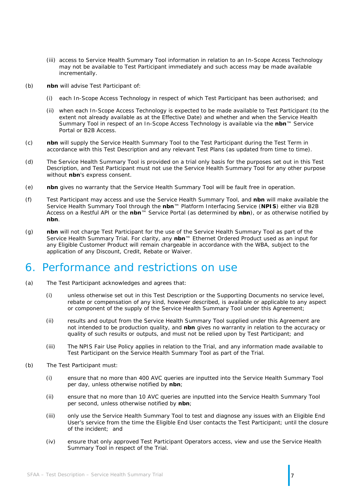- (iii) access to Service Health Summary Tool information in relation to an In-Scope Access Technology may not be available to Test Participant immediately and such access may be made available incrementally.
- (b) **nbn** will advise Test Participant of:
	- (i) each In-Scope Access Technology in respect of which Test Participant has been authorised; and
	- (ii) when each In-Scope Access Technology is expected to be made available to Test Participant (to the extent not already available as at the Effective Date) and whether and when the Service Health Summary Tool in respect of an In-Scope Access Technology is available via the **nbn**™ Service Portal or B2B Access.
- (c) **nbn** will supply the Service Health Summary Tool to the Test Participant during the Test Term in accordance with this Test Description and any relevant Test Plans (as updated from time to time).
- (d) The Service Health Summary Tool is provided on a trial only basis for the purposes set out in this Test Description, and Test Participant must not use the Service Health Summary Tool for any other purpose without **nbn**'s express consent.
- (e) **nbn** gives no warranty that the Service Health Summary Tool will be fault free in operation.
- (f) Test Participant may access and use the Service Health Summary Tool, and **nbn** will make available the Service Health Summary Tool through the **nbn**™ Platform Interfacing Service (**NPIS**) either via B2B Access on a Restful API or the **nbn**™ Service Portal (as determined by **nbn**), or as otherwise notified by **nbn**.
- (g) **nbn** will not charge Test Participant for the use of the Service Health Summary Tool as part of the Service Health Summary Trial. For clarity, any **nbn**™ Ethernet Ordered Product used as an input for any Eligible Customer Product will remain chargeable in accordance with the WBA, subject to the application of any Discount, Credit, Rebate or Waiver.

### <span id="page-6-0"></span>6. Performance and restrictions on use

- (a) The Test Participant acknowledges and agrees that:
	- (i) unless otherwise set out in this Test Description or the Supporting Documents no service level, rebate or compensation of any kind, however described, is available or applicable to any aspect or component of the supply of the Service Health Summary Tool under this Agreement;
	- (ii) results and output from the Service Health Summary Tool supplied under this Agreement are not intended to be production quality, and **nbn** gives no warranty in relation to the accuracy or quality of such results or outputs, and must not be relied upon by Test Participant; and
	- (iii) The NPIS Fair Use Policy applies in relation to the Trial, and any information made available to Test Participant on the Service Health Summary Tool as part of the Trial.
- <span id="page-6-2"></span><span id="page-6-1"></span>(b) The Test Participant must:
	- (i) ensure that no more than 400 AVC queries are inputted into the Service Health Summary Tool per day, unless otherwise notified by **nbn**;
	- (ii) ensure that no more than 10 AVC queries are inputted into the Service Health Summary Tool per second, unless otherwise notified by **nbn**;
	- (iii) only use the Service Health Summary Tool to test and diagnose any issues with an Eligible End User's service from the time the Eligible End User contacts the Test Participant; until the closure of the incident; and
	- (iv) ensure that only approved Test Participant Operators access, view and use the Service Health Summary Tool in respect of the Trial.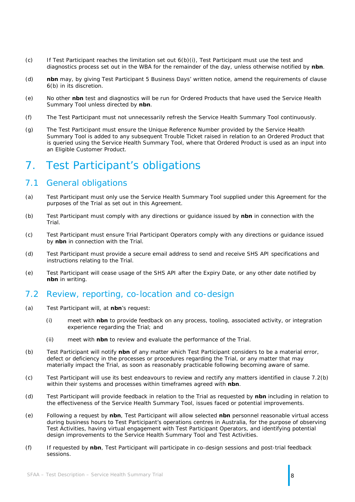- $(c)$  If Test Participant reaches the limitation set out  $6(b)(i)$ , Test Participant must use the test and diagnostics process set out in the WBA for the remainder of the day, unless otherwise notified by **nbn**.
- (d) **nbn** may, by giving Test Participant 5 Business Days' written notice, amend the requirements of clause [6\(b\)](#page-6-2) in its discretion.
- (e) No other **nbn** test and diagnostics will be run for Ordered Products that have used the Service Health Summary Tool unless directed by **nbn**.
- (f) The Test Participant must not unnecessarily refresh the Service Health Summary Tool continuously.
- (g) The Test Participant must ensure the Unique Reference Number provided by the Service Health Summary Tool is added to any subsequent Trouble Ticket raised in relation to an Ordered Product that is queried using the Service Health Summary Tool, where that Ordered Product is used as an input into an Eligible Customer Product.

## <span id="page-7-0"></span>7. Test Participant's obligations

### <span id="page-7-1"></span>7.1 General obligations

- (a) Test Participant must only use the Service Health Summary Tool supplied under this Agreement for the purposes of the Trial as set out in this Agreement.
- (b) Test Participant must comply with any directions or guidance issued by **nbn** in connection with the Trial.
- (c) Test Participant must ensure Trial Participant Operators comply with any directions or guidance issued by **nbn** in connection with the Trial.
- (d) Test Participant must provide a secure email address to send and receive SHS API specifications and instructions relating to the Trial.
- (e) Test Participant will cease usage of the SHS API after the Expiry Date, or any other date notified by **nbn** in writing.

### <span id="page-7-2"></span>7.2 Review, reporting, co-location and co-design

- (a) Test Participant will, at **nbn**'s request:
	- (i) meet with **nbn** to provide feedback on any process, tooling, associated activity, or integration experience regarding the Trial; and
	- (ii) meet with **nbn** to review and evaluate the performance of the Trial.
- <span id="page-7-3"></span>(b) Test Participant will notify **nbn** of any matter which Test Participant considers to be a material error, defect or deficiency in the processes or procedures regarding the Trial, or any matter that may materially impact the Trial, as soon as reasonably practicable following becoming aware of same.
- (c) Test Participant will use its best endeavours to review and rectify any matters identified in clause [7.2\(b\)](#page-7-3) within their systems and processes within timeframes agreed with **nbn**.
- (d) Test Participant will provide feedback in relation to the Trial as requested by **nbn** including in relation to the effectiveness of the Service Health Summary Tool, issues faced or potential improvements.
- (e) Following a request by **nbn**, Test Participant will allow selected **nbn** personnel reasonable virtual access during business hours to Test Participant's operations centres in Australia, for the purpose of observing Test Activities, having virtual engagement with Test Participant Operators, and identifying potential design improvements to the Service Health Summary Tool and Test Activities.
- (f) If requested by **nbn**, Test Participant will participate in co-design sessions and post-trial feedback sessions.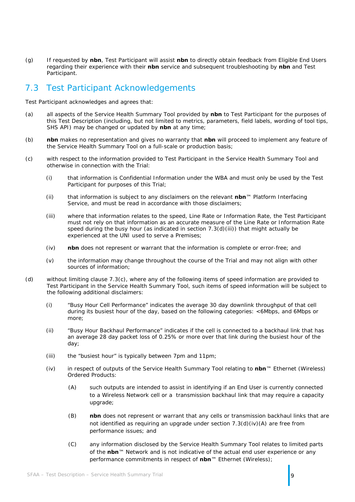(g) If requested by **nbn**, Test Participant will assist **nbn** to directly obtain feedback from Eligible End Users regarding their experience with their **nbn** service and subsequent troubleshooting by **nbn** and Test Participant.

### <span id="page-8-0"></span>7.3 Test Participant Acknowledgements

Test Participant acknowledges and agrees that:

- (a) all aspects of the Service Health Summary Tool provided by **nbn** to Test Participant for the purposes of this Test Description (including, but not limited to metrics, parameters, field labels, wording of tool tips, SHS API) may be changed or updated by **nbn** at any time;
- (b) **nbn** makes no representation and gives no warranty that **nbn** will proceed to implement any feature of the Service Health Summary Tool on a full-scale or production basis;
- <span id="page-8-2"></span>(c) with respect to the information provided to Test Participant in the Service Health Summary Tool and otherwise in connection with the Trial:
	- (i) that information is Confidential Information under the WBA and must only be used by the Test Participant for purposes of this Trial;
	- (ii) that information is subject to any disclaimers on the relevant **nbn**™ Platform Interfacing Service, and must be read in accordance with those disclaimers;
	- (iii) where that information relates to the speed, Line Rate or Information Rate, the Test Participant must not rely on that information as an accurate measure of the Line Rate or Information Rate speed during the busy hour (as indicated in section  $7.3(d)(iii)$ ) that might actually be experienced at the UNI used to serve a Premises;
	- (iv) **nbn** does not represent or warrant that the information is complete or error-free; and
	- (v) the information may change throughout the course of the Trial and may not align with other sources of information;
- <span id="page-8-3"></span><span id="page-8-1"></span>(d) without limiting clause [7.3\(c\),](#page-8-2) where any of the following items of speed information are provided to Test Participant in the Service Health Summary Tool, such items of speed information will be subject to the following additional disclaimers:
	- (i) "Busy Hour Cell Performance" indicates the average 30 day downlink throughput of that cell during its busiest hour of the day, based on the following categories: <6Mbps, and 6Mbps or more;
	- (ii) "Busy Hour Backhaul Performance" indicates if the cell is connected to a backhaul link that has an average 28 day packet loss of 0.25% or more over that link during the busiest hour of the day;
	- (iii) the "busiest hour" is typically between 7pm and 11pm;
	- (iv) in respect of outputs of the Service Health Summary Tool relating to **nbn**™ Ethernet (Wireless) Ordered Products:
		- (A) such outputs are intended to assist in identifying if an End User is currently connected to a Wireless Network cell or a transmission backhaul link that may require a capacity upgrade;
		- (B) **nbn** does not represent or warrant that any cells or transmission backhaul links that are not identified as requiring an upgrade under section [7.3\(d\)\(iv\)\(A\)](#page-8-3) are free from performance issues; and
		- (C) any information disclosed by the Service Health Summary Tool relates to limited parts of the **nbn**™ Network and is not indicative of the actual end user experience or any performance commitments in respect of **nbn**™ Ethernet (Wireless);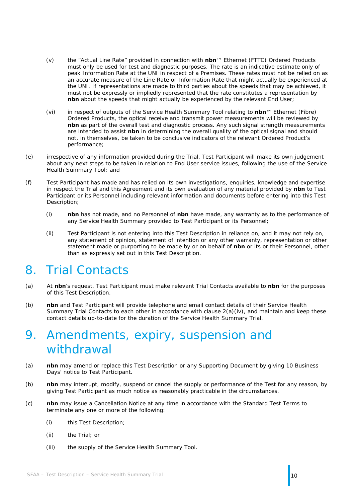- (v) the "Actual Line Rate" provided in connection with **nbn**™ Ethernet (FTTC) Ordered Products must only be used for test and diagnostic purposes. The rate is an indicative estimate only of peak Information Rate at the UNI in respect of a Premises. These rates must not be relied on as an accurate measure of the Line Rate or Information Rate that might actually be experienced at the UNI. If representations are made to third parties about the speeds that may be achieved, it must not be expressly or impliedly represented that the rate constitutes a representation by **nbn** about the speeds that might actually be experienced by the relevant End User;
- (vi) in respect of outputs of the Service Health Summary Tool relating to **nbn**™ Ethernet (Fibre) Ordered Products, the optical receive and transmit power measurements will be reviewed by **nbn** as part of the overall test and diagnostic process. Any such signal strength measurements are intended to assist **nbn** in determining the overall quality of the optical signal and should not, in themselves, be taken to be conclusive indicators of the relevant Ordered Product's performance;
- (e) irrespective of any information provided during the Trial, Test Participant will make its own judgement about any next steps to be taken in relation to End User service issues, following the use of the Service Health Summary Tool; and
- (f) Test Participant has made and has relied on its own investigations, enquiries, knowledge and expertise in respect the Trial and this Agreement and its own evaluation of any material provided by **nbn** to Test Participant or its Personnel including relevant information and documents before entering into this Test Description;
	- (i) **nbn** has not made, and no Personnel of **nbn** have made, any warranty as to the performance of any Service Health Summary provided to Test Participant or its Personnel;
	- (ii) Test Participant is not entering into this Test Description in reliance on, and it may not rely on, any statement of opinion, statement of intention or any other warranty, representation or other statement made or purporting to be made by or on behalf of **nbn** or its or their Personnel, other than as expressly set out in this Test Description.

## <span id="page-9-0"></span>8. Trial Contacts

- (a) At **nbn**'s request, Test Participant must make relevant Trial Contacts available to **nbn** for the purposes of this Test Description.
- (b) **nbn** and Test Participant will provide telephone and email contact details of their Service Health Summary Trial Contacts to each other in accordance with clause [2\(a\)\(iv\),](#page-5-7) and maintain and keep these contact details up-to-date for the duration of the Service Health Summary Trial.

## <span id="page-9-1"></span>9. Amendments, expiry, suspension and withdrawal

- (a) **nbn** may amend or replace this Test Description or any Supporting Document by giving 10 Business Days' notice to Test Participant.
- (b) **nbn** may interrupt, modify, suspend or cancel the supply or performance of the Test for any reason, by giving Test Participant as much notice as reasonably practicable in the circumstances.
- (c) **nbn** may issue a Cancellation Notice at any time in accordance with the Standard Test Terms to terminate any one or more of the following:
	- (i) this Test Description;
	- (ii) the Trial; or
	- (iii) the supply of the Service Health Summary Tool.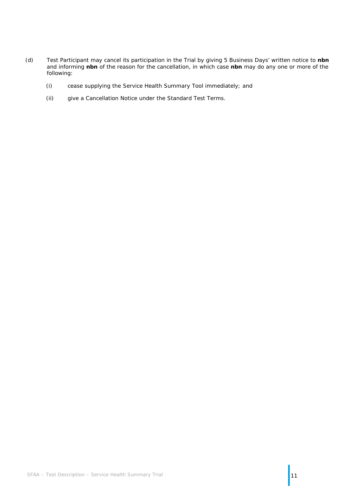- (d) Test Participant may cancel its participation in the Trial by giving 5 Business Days' written notice to **nbn** and informing **nbn** of the reason for the cancellation, in which case **nbn** may do any one or more of the following:
	- (i) cease supplying the Service Health Summary Tool immediately; and
	- (ii) give a Cancellation Notice under the Standard Test Terms.